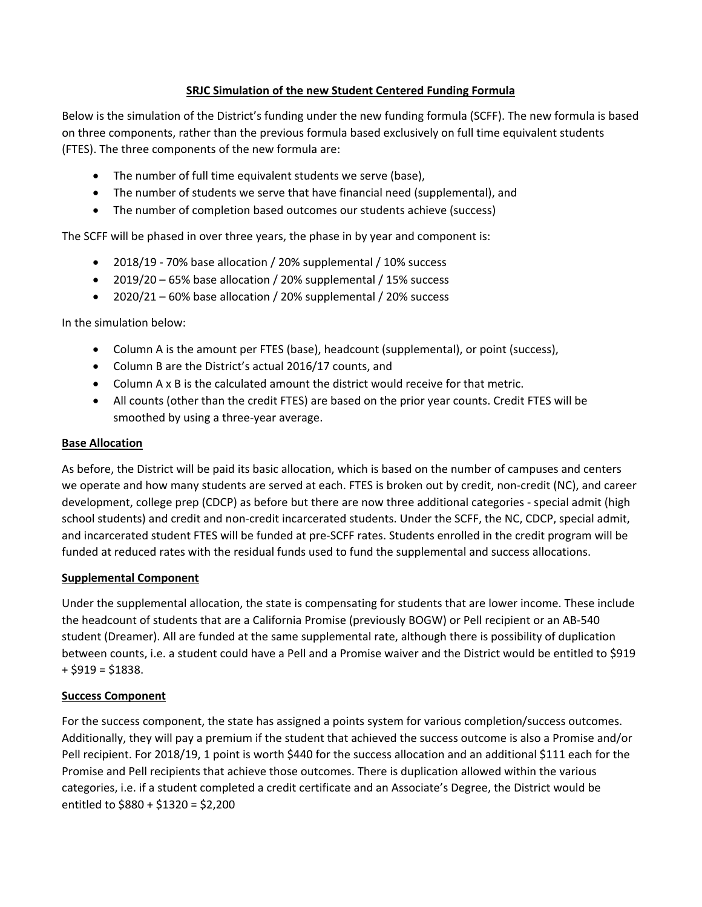## **SRJC Simulation of the new Student Centered Funding Formula**

 Below is the simulation of the District's funding under the new funding formula (SCFF). The new formula is based on three components, rather than the previous formula based exclusively on full time equivalent students (FTES). The three components of the new formula are:

- The number of full time equivalent students we serve (base),
- The number of students we serve that have financial need (supplemental), and
- The number of completion based outcomes our students achieve (success)

The SCFF will be phased in over three years, the phase in by year and component is:

- 2018/19 ‐ 70% base allocation / 20% supplemental / 10% success
- 2019/20 65% base allocation / 20% supplemental / 15% success
- 2020/21 60% base allocation / 20% supplemental / 20% success

In the simulation below:

- Column A is the amount per FTES (base), headcount (supplemental), or point (success),
- Column B are the District's actual 2016/17 counts, and
- Column A x B is the calculated amount the district would receive for that metric.
- All counts (other than the credit FTES) are based on the prior year counts. Credit FTES will be smoothed by using a three‐year average.

## **Base Allocation**

As before, the District will be paid its basic allocation, which is based on the number of campuses and centers we operate and how many students are served at each. FTES is broken out by credit, non-credit (NC), and career development, college prep (CDCP) as before but there are now three additional categories ‐ special admit (high school students) and credit and non‐credit incarcerated students. Under the SCFF, the NC, CDCP, special admit, and incarcerated student FTES will be funded at pre‐SCFF rates. Students enrolled in the credit program will be funded at reduced rates with the residual funds used to fund the supplemental and success allocations.

## **Supplemental Component**

 student (Dreamer). All are funded at the same supplemental rate, although there is possibility of duplication Under the supplemental allocation, the state is compensating for students that are lower income. These include the headcount of students that are a California Promise (previously BOGW) or Pell recipient or an AB‐540 between counts, i.e. a student could have a Pell and a Promise waiver and the District would be entitled to \$919  $+$  \$919 = \$1838.

## **Success Component**

For the success component, the state has assigned a points system for various completion/success outcomes. Additionally, they will pay a premium if the student that achieved the success outcome is also a Promise and/or Pell recipient. For 2018/19, 1 point is worth \$440 for the success allocation and an additional \$111 each for the Promise and Pell recipients that achieve those outcomes. There is duplication allowed within the various categories, i.e. if a student completed a credit certificate and an Associate's Degree, the District would be entitled to \$880 + \$1320 = \$2,200